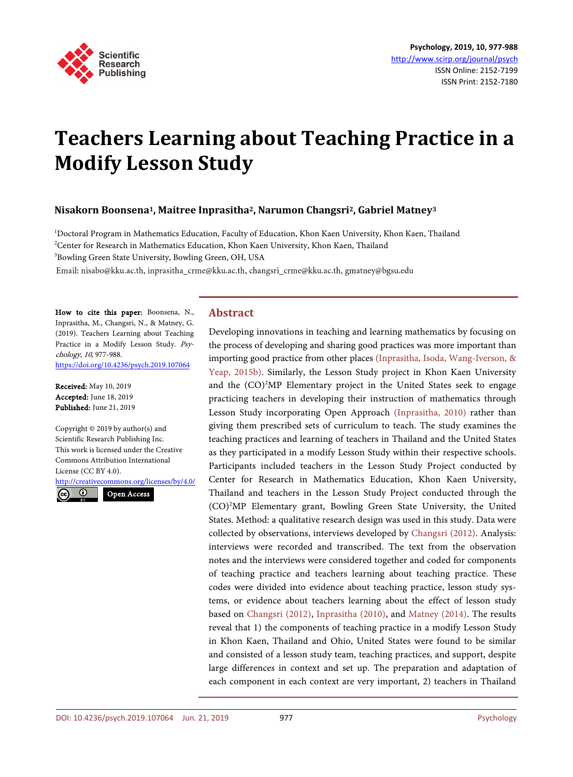

# **Teachers Learning about Teaching Practice in a Modify Lesson Study**

# **Nisakorn Boonsena1, Maitree Inprasitha2, Narumon Changsri2, Gabriel Matney3**

1 Doctoral Program in Mathematics Education, Faculty of Education, Khon Kaen University, Khon Kaen, Thailand <sup>2</sup>Center for Research in Mathematics Education, Khon Kaen University, Khon Kaen, Thailand <sup>3</sup>Bowling Green State University, Bowling Green, OH, USA

Email: nisabo@kku.ac.th, inprasitha\_crme@kku.ac.th, changsri\_crme@kku.ac.th, gmatney@bgsu.edu

How to cite this paper: Boonsena, N., Inprasitha, M., Changsri, N., & Matney, G. (2019). Teachers Learning about Teaching Practice in a Modify Lesson Study. Psychology, 10, 977-988. <https://doi.org/10.4236/psych.2019.107064>

Received: May 10, 2019 Accepted: June 18, 2019 Published: June 21, 2019

Copyright © 2019 by author(s) and Scientific Research Publishing Inc. This work is licensed under the Creative Commons Attribution International License (CC BY 4.0).

<http://creativecommons.org/licenses/by/4.0/>

 $\odot$ (cc

Open Access

## **Abstract**

Developing innovations in teaching and learning mathematics by focusing on the process of developing and sharing good practices was more important than importing good practice from other places [\(Inprasitha, Isoda, Wang-Iverson,](#page-10-0) & [Yeap, 2015b\).](#page-10-0) Similarly, the Lesson Study project in Khon Kaen University and the (CO)<sup>2</sup>MP Elementary project in the United States seek to engage practicing teachers in developing their instruction of mathematics through Lesson Study incorporating Open Approach [\(Inprasitha, 2010\)](#page-10-1) rather than giving them prescribed sets of curriculum to teach. The study examines the teaching practices and learning of teachers in Thailand and the United States as they participated in a modify Lesson Study within their respective schools. Participants included teachers in the Lesson Study Project conducted by Center for Research in Mathematics Education, Khon Kaen University, Thailand and teachers in the Lesson Study Project conducted through the (CO)<sup>2</sup> MP Elementary grant, Bowling Green State University, the United States. Method: a qualitative research design was used in this study. Data were collected by observations, interviews developed by [Changsri \(2012\).](#page-10-2) Analysis: interviews were recorded and transcribed. The text from the observation notes and the interviews were considered together and coded for components of teaching practice and teachers learning about teaching practice. These codes were divided into evidence about teaching practice, lesson study systems, or evidence about teachers learning about the effect of lesson study based on [Changsri \(2012\),](#page-10-2) [Inprasitha \(2010\),](#page-10-1) and [Matney \(2014\).](#page-11-0) The results reveal that 1) the components of teaching practice in a modify Lesson Study in Khon Kaen, Thailand and Ohio, United States were found to be similar and consisted of a lesson study team, teaching practices, and support, despite large differences in context and set up. The preparation and adaptation of each component in each context are very important, 2) teachers in Thailand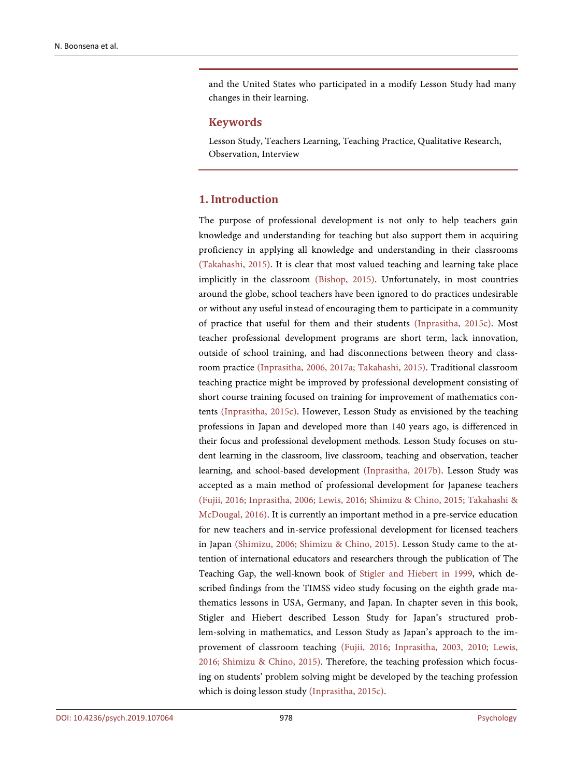and the United States who participated in a modify Lesson Study had many changes in their learning.

## **Keywords**

Lesson Study, Teachers Learning, Teaching Practice, Qualitative Research, Observation, Interview

# **1. Introduction**

The purpose of professional development is not only to help teachers gain knowledge and understanding for teaching but also support them in acquiring proficiency in applying all knowledge and understanding in their classrooms [\(Takahashi, 2015\).](#page-11-1) It is clear that most valued teaching and learning take place implicitly in the classroom [\(Bishop, 2015\).](#page-10-3) Unfortunately, in most countries around the globe, school teachers have been ignored to do practices undesirable or without any useful instead of encouraging them to participate in a community of practice that useful for them and their students [\(Inprasitha, 2015c\).](#page-10-4) Most teacher professional development programs are short term, lack innovation, outside of school training, and had disconnections between theory and classroom practice [\(Inprasitha, 2006, 2017a;](#page-10-5) [Takahashi, 2015\).](#page-11-1) Traditional classroom teaching practice might be improved by professional development consisting of short course training focused on training for improvement of mathematics contents [\(Inprasitha, 2015c\).](#page-10-4) However, Lesson Study as envisioned by the teaching professions in Japan and developed more than 140 years ago, is differenced in their focus and professional development methods. Lesson Study focuses on student learning in the classroom, live classroom, teaching and observation, teacher learning, and school-based development [\(Inprasitha, 2017b\).](#page-10-6) Lesson Study was accepted as a main method of professional development for Japanese teachers [\(Fujii, 2016;](#page-10-7) [Inprasitha, 2006;](#page-10-5) [Lewis, 2016;](#page-11-2) [Shimizu & Chino, 2015;](#page-11-3) [Takahashi &](#page-11-4)  [McDougal, 2016\).](#page-11-4) It is currently an important method in a pre-service education for new teachers and in-service professional development for licensed teachers in Japan [\(Shimizu, 2006;](#page-11-5) [Shimizu & Chino, 2015\)](#page-11-3). Lesson Study came to the attention of international educators and researchers through the publication of The Teaching Gap, the well-known book of [Stigler and Hiebert in 1999,](#page-11-6) which described findings from the TIMSS video study focusing on the eighth grade mathematics lessons in USA, Germany, and Japan. In chapter seven in this book, Stigler and Hiebert described Lesson Study for Japan's structured problem-solving in mathematics, and Lesson Study as Japan's approach to the improvement of classroom teaching [\(Fujii, 2016;](#page-10-7) [Inprasitha, 2003,](#page-10-8) 2010; [Lewis,](#page-11-2)  [2016;](#page-11-2) [Shimizu & Chino, 2015\).](#page-11-3) Therefore, the teaching profession which focusing on students' problem solving might be developed by the teaching profession which is doing lesson study [\(Inprasitha, 2015c\).](#page-10-4)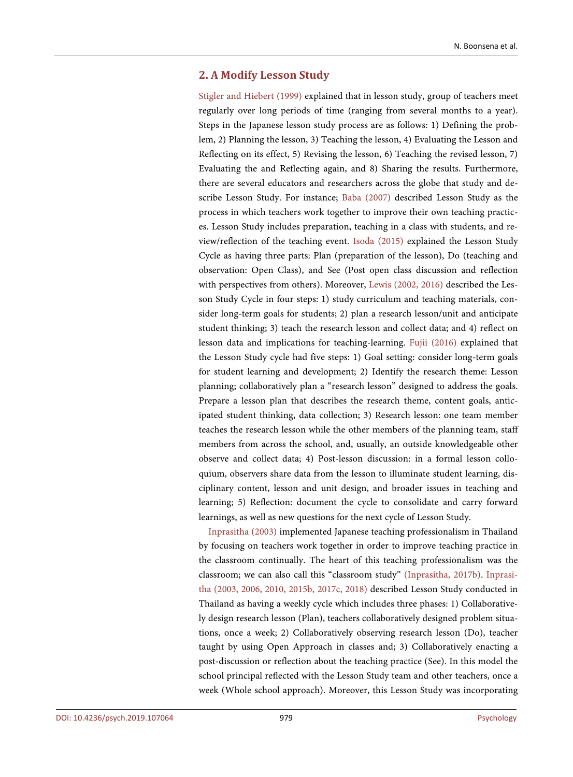# **2. A Modify Lesson Study**

[Stigler and Hiebert \(1999\)](#page-11-6) explained that in lesson study, group of teachers meet regularly over long periods of time (ranging from several months to a year). Steps in the Japanese lesson study process are as follows: 1) Defining the problem, 2) Planning the lesson, 3) Teaching the lesson, 4) Evaluating the Lesson and Reflecting on its effect, 5) Revising the lesson, 6) Teaching the revised lesson, 7) Evaluating the and Reflecting again, and 8) Sharing the results. Furthermore, there are several educators and researchers across the globe that study and describe Lesson Study. For instance; [Baba \(2007\)](#page-10-9) described Lesson Study as the process in which teachers work together to improve their own teaching practices. Lesson Study includes preparation, teaching in a class with students, and review/reflection of the teaching event. [Isoda \(2015\)](#page-10-10) explained the Lesson Study Cycle as having three parts: Plan (preparation of the lesson), Do (teaching and observation: Open Class), and See (Post open class discussion and reflection with perspectives from others). Moreover, [Lewis \(2002,](#page-10-11) 2016) described the Lesson Study Cycle in four steps: 1) study curriculum and teaching materials, consider long-term goals for students; 2) plan a research lesson/unit and anticipate student thinking; 3) teach the research lesson and collect data; and 4) reflect on lesson data and implications for teaching-learning. [Fujii \(2016\)](#page-10-7) explained that the Lesson Study cycle had five steps: 1) Goal setting: consider long-term goals for student learning and development; 2) Identify the research theme: Lesson planning; collaboratively plan a "research lesson" designed to address the goals. Prepare a lesson plan that describes the research theme, content goals, anticipated student thinking, data collection; 3) Research lesson: one team member teaches the research lesson while the other members of the planning team, staff members from across the school, and, usually, an outside knowledgeable other observe and collect data; 4) Post-lesson discussion: in a formal lesson colloquium, observers share data from the lesson to illuminate student learning, disciplinary content, lesson and unit design, and broader issues in teaching and learning; 5) Reflection: document the cycle to consolidate and carry forward learnings, as well as new questions for the next cycle of Lesson Study.

[Inprasitha \(2003\)](#page-10-8) implemented Japanese teaching professionalism in Thailand by focusing on teachers work together in order to improve teaching practice in the classroom continually. The heart of this teaching professionalism was the classroom; we can also call this "classroom study" [\(Inprasitha, 2017b\).](#page-10-6) [Inprasi](#page-10-8)[tha \(2003,](#page-10-8) 2006, 2010, 2015b, 2017c, 2018) described Lesson Study conducted in Thailand as having a weekly cycle which includes three phases: 1) Collaboratively design research lesson (Plan), teachers collaboratively designed problem situations, once a week; 2) Collaboratively observing research lesson (Do), teacher taught by using Open Approach in classes and; 3) Collaboratively enacting a post-discussion or reflection about the teaching practice (See). In this model the school principal reflected with the Lesson Study team and other teachers, once a week (Whole school approach). Moreover, this Lesson Study was incorporating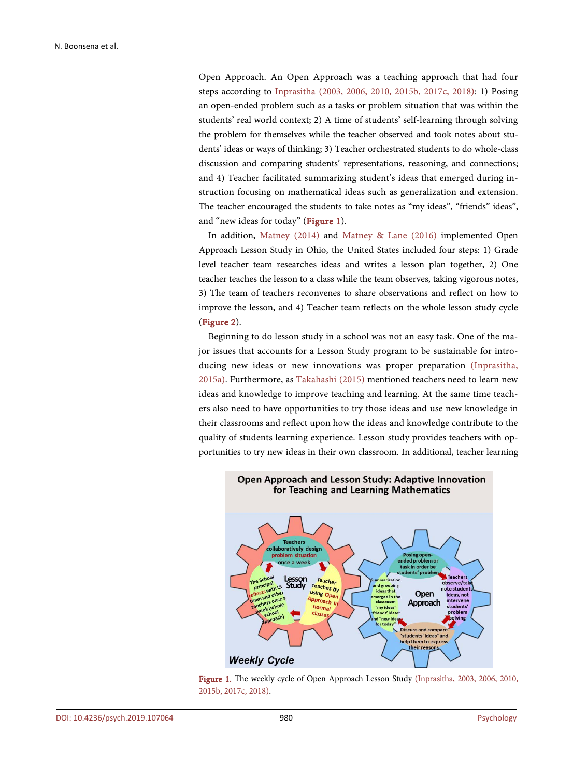Open Approach. An Open Approach was a teaching approach that had four steps according to [Inprasitha \(2003,](#page-10-8) 2006, 2010, 2015b, 2017c, 2018): 1) Posing an open-ended problem such as a tasks or problem situation that was within the students' real world context; 2) A time of students' self-learning through solving the problem for themselves while the teacher observed and took notes about students' ideas or ways of thinking; 3) Teacher orchestrated students to do whole-class discussion and comparing students' representations, reasoning, and connections; and 4) Teacher facilitated summarizing student's ideas that emerged during instruction focusing on mathematical ideas such as generalization and extension. The teacher encouraged the students to take notes as "my ideas", "friends" ideas", and "new ideas for today" [\(Figure 1\)](#page-3-0).

In addition, [Matney \(2014\)](#page-11-0) and [Matney & Lane \(2016\)](#page-11-7) implemented Open Approach Lesson Study in Ohio, the United States included four steps: 1) Grade level teacher team researches ideas and writes a lesson plan together, 2) One teacher teaches the lesson to a class while the team observes, taking vigorous notes, 3) The team of teachers reconvenes to share observations and reflect on how to improve the lesson, and 4) Teacher team reflects on the whole lesson study cycle [\(Figure 2\)](#page-4-0).

Beginning to do lesson study in a school was not an easy task. One of the major issues that accounts for a Lesson Study program to be sustainable for introducing new ideas or new innovations was proper preparation [\(Inprasitha,](#page-10-12)  [2015a\).](#page-10-12) Furthermore, as [Takahashi \(2015\)](#page-11-1) mentioned teachers need to learn new ideas and knowledge to improve teaching and learning. At the same time teachers also need to have opportunities to try those ideas and use new knowledge in their classrooms and reflect upon how the ideas and knowledge contribute to the quality of students learning experience. Lesson study provides teachers with opportunities to try new ideas in their own classroom. In additional, teacher learning

<span id="page-3-0"></span>

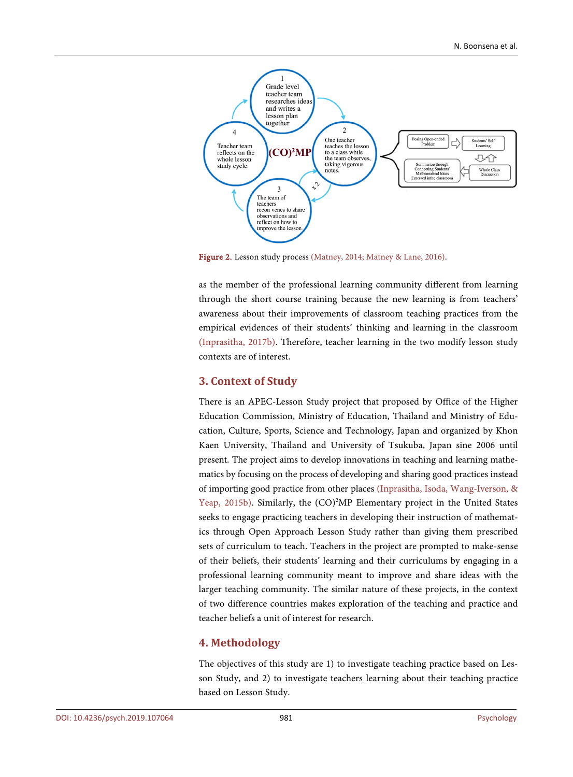<span id="page-4-0"></span>

Figure 2. Lesson study process [\(Matney, 2014;](#page-11-0) [Matney & Lane, 2016\).](#page-11-7)

as the member of the professional learning community different from learning through the short course training because the new learning is from teachers' awareness about their improvements of classroom teaching practices from the empirical evidences of their students' thinking and learning in the classroom [\(Inprasitha, 2017b\).](#page-10-6) Therefore, teacher learning in the two modify lesson study contexts are of interest.

# **3. Context of Study**

There is an APEC-Lesson Study project that proposed by Office of the Higher Education Commission, Ministry of Education, Thailand and Ministry of Education, Culture, Sports, Science and Technology, Japan and organized by Khon Kaen University, Thailand and University of Tsukuba, Japan sine 2006 until present. The project aims to develop innovations in teaching and learning mathematics by focusing on the process of developing and sharing good practices instead of importing good practice from other places [\(Inprasitha, Isoda, Wang-Iverson,](#page-10-0) & [Yeap, 2015b\).](#page-10-0) Similarly, the (CO)<sup>2</sup>MP Elementary project in the United States seeks to engage practicing teachers in developing their instruction of mathematics through Open Approach Lesson Study rather than giving them prescribed sets of curriculum to teach. Teachers in the project are prompted to make-sense of their beliefs, their students' learning and their curriculums by engaging in a professional learning community meant to improve and share ideas with the larger teaching community. The similar nature of these projects, in the context of two difference countries makes exploration of the teaching and practice and teacher beliefs a unit of interest for research.

# **4. Methodology**

The objectives of this study are 1) to investigate teaching practice based on Lesson Study, and 2) to investigate teachers learning about their teaching practice based on Lesson Study.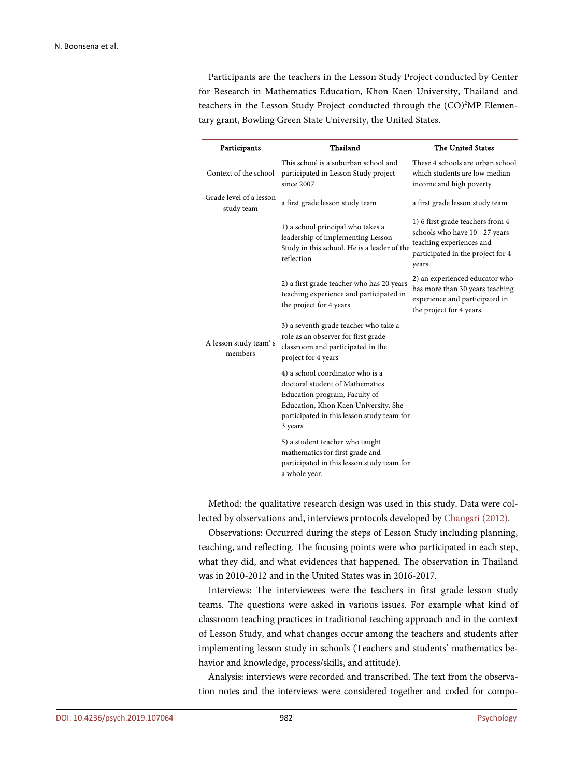Participants are the teachers in the Lesson Study Project conducted by Center for Research in Mathematics Education, Khon Kaen University, Thailand and teachers in the Lesson Study Project conducted through the (CO)<sup>2</sup>MP Elementary grant, Bowling Green State University, the United States.

| Participants                          | Thailand                                                                                                                                                                                              | The United States                                                                                                                            |
|---------------------------------------|-------------------------------------------------------------------------------------------------------------------------------------------------------------------------------------------------------|----------------------------------------------------------------------------------------------------------------------------------------------|
| Context of the school                 | This school is a suburban school and<br>participated in Lesson Study project<br>since 2007                                                                                                            | These 4 schools are urban school<br>which students are low median<br>income and high poverty                                                 |
| Grade level of a lesson<br>study team | a first grade lesson study team                                                                                                                                                                       | a first grade lesson study team                                                                                                              |
|                                       | 1) a school principal who takes a<br>leadership of implementing Lesson<br>Study in this school. He is a leader of the<br>reflection                                                                   | 1) 6 first grade teachers from 4<br>schools who have 10 - 27 years<br>teaching experiences and<br>participated in the project for 4<br>years |
|                                       | 2) a first grade teacher who has 20 years<br>teaching experience and participated in<br>the project for 4 years                                                                                       | 2) an experienced educator who<br>has more than 30 years teaching<br>experience and participated in<br>the project for 4 years.              |
| A lesson study team's<br>members      | 3) a seventh grade teacher who take a<br>role as an observer for first grade<br>classroom and participated in the<br>project for 4 years                                                              |                                                                                                                                              |
|                                       | 4) a school coordinator who is a<br>doctoral student of Mathematics<br>Education program, Faculty of<br>Education, Khon Kaen University. She<br>participated in this lesson study team for<br>3 years |                                                                                                                                              |
|                                       | 5) a student teacher who taught<br>mathematics for first grade and<br>participated in this lesson study team for<br>a whole year.                                                                     |                                                                                                                                              |

Method: the qualitative research design was used in this study. Data were collected by observations and, interviews protocols developed by [Changsri \(2012\).](#page-10-2)

Observations: Occurred during the steps of Lesson Study including planning, teaching, and reflecting. The focusing points were who participated in each step, what they did, and what evidences that happened. The observation in Thailand was in 2010-2012 and in the United States was in 2016-2017.

Interviews: The interviewees were the teachers in first grade lesson study teams. The questions were asked in various issues. For example what kind of classroom teaching practices in traditional teaching approach and in the context of Lesson Study, and what changes occur among the teachers and students after implementing lesson study in schools (Teachers and students' mathematics behavior and knowledge, process/skills, and attitude).

Analysis: interviews were recorded and transcribed. The text from the observation notes and the interviews were considered together and coded for compo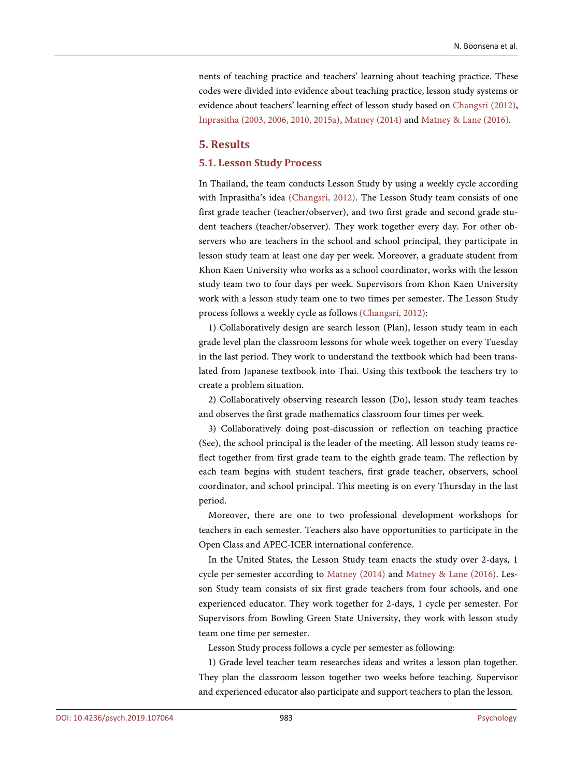nents of teaching practice and teachers' learning about teaching practice. These codes were divided into evidence about teaching practice, lesson study systems or evidence about teachers' learning effect of lesson study based o[n Changsri \(2012\),](#page-10-2)  [Inprasitha \(2003, 2006,](#page-10-8) 2010, 2015a), [Matney \(2014\)](#page-11-0) and [Matney & Lane \(2016\).](#page-11-7)

## **5. Results**

# **5.1. Lesson Study Process**

In Thailand, the team conducts Lesson Study by using a weekly cycle according with Inprasitha's idea [\(Changsri, 2012\).](#page-10-2) The Lesson Study team consists of one first grade teacher (teacher/observer), and two first grade and second grade student teachers (teacher/observer). They work together every day. For other observers who are teachers in the school and school principal, they participate in lesson study team at least one day per week. Moreover, a graduate student from Khon Kaen University who works as a school coordinator, works with the lesson study team two to four days per week. Supervisors from Khon Kaen University work with a lesson study team one to two times per semester. The Lesson Study process follows a weekly cycle as follows [\(Changsri, 2012\):](#page-10-2)

1) Collaboratively design are search lesson (Plan), lesson study team in each grade level plan the classroom lessons for whole week together on every Tuesday in the last period. They work to understand the textbook which had been translated from Japanese textbook into Thai. Using this textbook the teachers try to create a problem situation.

2) Collaboratively observing research lesson (Do), lesson study team teaches and observes the first grade mathematics classroom four times per week.

3) Collaboratively doing post-discussion or reflection on teaching practice (See), the school principal is the leader of the meeting. All lesson study teams reflect together from first grade team to the eighth grade team. The reflection by each team begins with student teachers, first grade teacher, observers, school coordinator, and school principal. This meeting is on every Thursday in the last period.

Moreover, there are one to two professional development workshops for teachers in each semester. Teachers also have opportunities to participate in the Open Class and APEC-ICER international conference.

In the United States, the Lesson Study team enacts the study over 2-days, 1 cycle per semester according to [Matney \(2014\)](#page-11-0) and [Matney & Lane \(2016\).](#page-11-7) Lesson Study team consists of six first grade teachers from four schools, and one experienced educator. They work together for 2-days, 1 cycle per semester. For Supervisors from Bowling Green State University, they work with lesson study team one time per semester.

Lesson Study process follows a cycle per semester as following:

1) Grade level teacher team researches ideas and writes a lesson plan together. They plan the classroom lesson together two weeks before teaching. Supervisor and experienced educator also participate and support teachers to plan the lesson.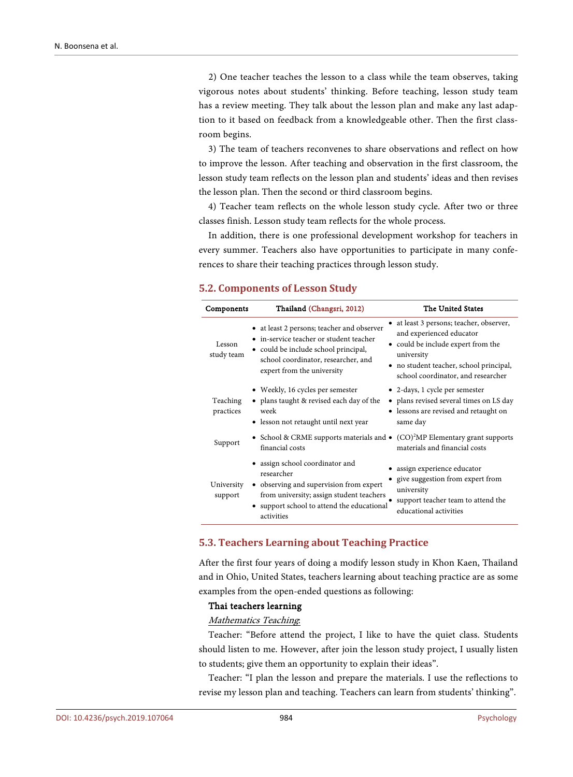2) One teacher teaches the lesson to a class while the team observes, taking vigorous notes about students' thinking. Before teaching, lesson study team has a review meeting. They talk about the lesson plan and make any last adaption to it based on feedback from a knowledgeable other. Then the first classroom begins.

3) The team of teachers reconvenes to share observations and reflect on how to improve the lesson. After teaching and observation in the first classroom, the lesson study team reflects on the lesson plan and students' ideas and then revises the lesson plan. Then the second or third classroom begins.

4) Teacher team reflects on the whole lesson study cycle. After two or three classes finish. Lesson study team reflects for the whole process.

In addition, there is one professional development workshop for teachers in every summer. Teachers also have opportunities to participate in many conferences to share their teaching practices through lesson study.

## **5.2. Components of Lesson Study**

| Components            | Thailand (Changsri, 2012)                                                                                                                                                                          | The United States                                                                                                                                                                                         |
|-----------------------|----------------------------------------------------------------------------------------------------------------------------------------------------------------------------------------------------|-----------------------------------------------------------------------------------------------------------------------------------------------------------------------------------------------------------|
| Lesson<br>study team  | • at least 2 persons; teacher and observer<br>• in-service teacher or student teacher<br>• could be include school principal,<br>school coordinator, researcher, and<br>expert from the university | • at least 3 persons; teacher, observer,<br>and experienced educator<br>• could be include expert from the<br>university<br>• no student teacher, school principal,<br>school coordinator, and researcher |
| Teaching<br>practices | • Weekly, 16 cycles per semester<br>• plans taught & revised each day of the<br>week<br>• lesson not retaught until next year                                                                      | • 2-days, 1 cycle per semester<br>• plans revised several times on LS day<br>• lessons are revised and retaught on<br>same day                                                                            |
| Support               | • School & CRME supports materials and $\bullet$ (CO) <sup>2</sup> MP Elementary grant supports<br>financial costs                                                                                 | materials and financial costs                                                                                                                                                                             |
| University<br>support | • assign school coordinator and<br>researcher<br>• observing and supervision from expert<br>from university; assign student teachers<br>• support school to attend the educational<br>activities   | assign experience educator<br>give suggestion from expert from<br>university<br>support teacher team to attend the<br>educational activities                                                              |

## **5.3. Teachers Learning about Teaching Practice**

After the first four years of doing a modify lesson study in Khon Kaen, Thailand and in Ohio, United States, teachers learning about teaching practice are as some examples from the open-ended questions as following:

#### Thai teachers learning

#### Mathematics Teaching:

Teacher: "Before attend the project, I like to have the quiet class. Students should listen to me. However, after join the lesson study project, I usually listen to students; give them an opportunity to explain their ideas".

Teacher: "I plan the lesson and prepare the materials. I use the reflections to revise my lesson plan and teaching. Teachers can learn from students' thinking".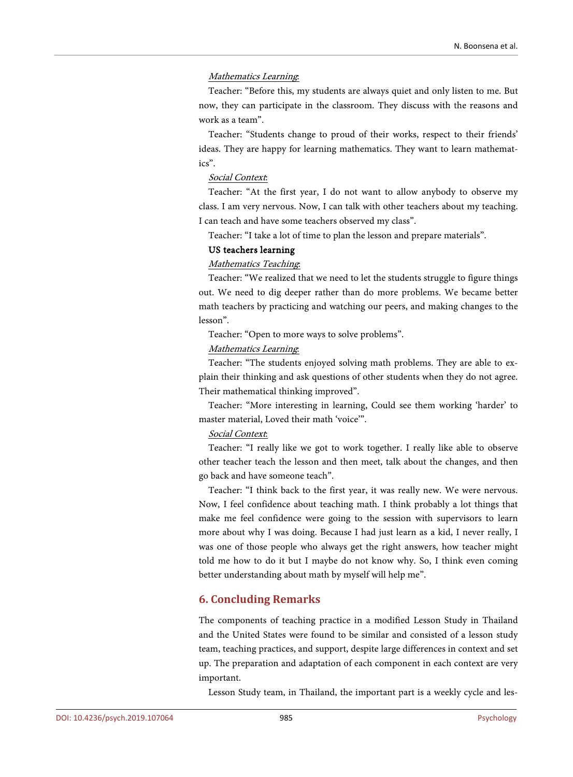## Mathematics Learning:

Teacher: "Before this, my students are always quiet and only listen to me. But now, they can participate in the classroom. They discuss with the reasons and work as a team".

Teacher: "Students change to proud of their works, respect to their friends' ideas. They are happy for learning mathematics. They want to learn mathematics".

# Social Context:

Teacher: "At the first year, I do not want to allow anybody to observe my class. I am very nervous. Now, I can talk with other teachers about my teaching. I can teach and have some teachers observed my class".

Teacher: "I take a lot of time to plan the lesson and prepare materials".

## US teachers learning

## Mathematics Teaching:

Teacher: "We realized that we need to let the students struggle to figure things out. We need to dig deeper rather than do more problems. We became better math teachers by practicing and watching our peers, and making changes to the lesson".

Teacher: "Open to more ways to solve problems".

## Mathematics Learning:

Teacher: "The students enjoyed solving math problems. They are able to explain their thinking and ask questions of other students when they do not agree. Their mathematical thinking improved".

Teacher: "More interesting in learning, Could see them working 'harder' to master material, Loved their math 'voice'".

## Social Context:

Teacher: "I really like we got to work together. I really like able to observe other teacher teach the lesson and then meet, talk about the changes, and then go back and have someone teach".

Teacher: "I think back to the first year, it was really new. We were nervous. Now, I feel confidence about teaching math. I think probably a lot things that make me feel confidence were going to the session with supervisors to learn more about why I was doing. Because I had just learn as a kid, I never really, I was one of those people who always get the right answers, how teacher might told me how to do it but I maybe do not know why. So, I think even coming better understanding about math by myself will help me".

# **6. Concluding Remarks**

The components of teaching practice in a modified Lesson Study in Thailand and the United States were found to be similar and consisted of a lesson study team, teaching practices, and support, despite large differences in context and set up. The preparation and adaptation of each component in each context are very important.

Lesson Study team, in Thailand, the important part is a weekly cycle and les-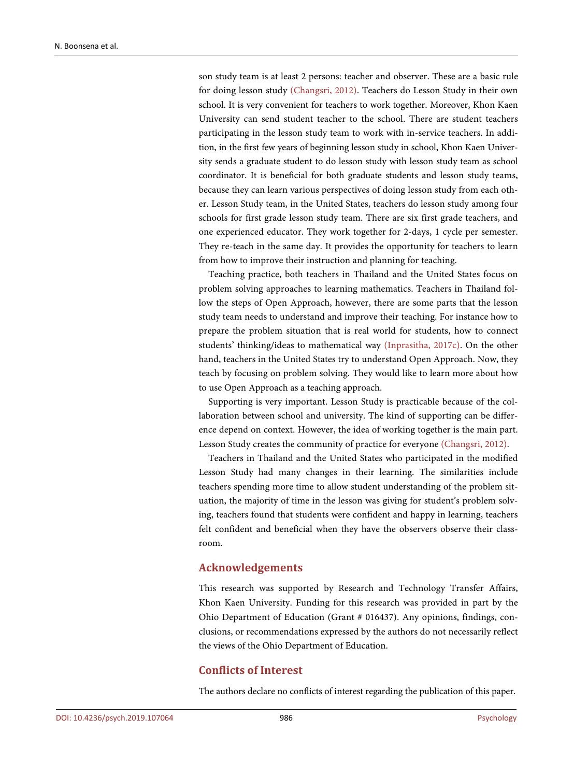son study team is at least 2 persons: teacher and observer. These are a basic rule for doing lesson study [\(Changsri, 2012\).](#page-10-2) Teachers do Lesson Study in their own school. It is very convenient for teachers to work together. Moreover, Khon Kaen University can send student teacher to the school. There are student teachers participating in the lesson study team to work with in-service teachers. In addition, in the first few years of beginning lesson study in school, Khon Kaen University sends a graduate student to do lesson study with lesson study team as school coordinator. It is beneficial for both graduate students and lesson study teams, because they can learn various perspectives of doing lesson study from each other. Lesson Study team, in the United States, teachers do lesson study among four schools for first grade lesson study team. There are six first grade teachers, and one experienced educator. They work together for 2-days, 1 cycle per semester. They re-teach in the same day. It provides the opportunity for teachers to learn from how to improve their instruction and planning for teaching.

Teaching practice, both teachers in Thailand and the United States focus on problem solving approaches to learning mathematics. Teachers in Thailand follow the steps of Open Approach, however, there are some parts that the lesson study team needs to understand and improve their teaching. For instance how to prepare the problem situation that is real world for students, how to connect students' thinking/ideas to mathematical way [\(Inprasitha, 2017c\).](#page-10-13) On the other hand, teachers in the United States try to understand Open Approach. Now, they teach by focusing on problem solving. They would like to learn more about how to use Open Approach as a teaching approach.

Supporting is very important. Lesson Study is practicable because of the collaboration between school and university. The kind of supporting can be difference depend on context. However, the idea of working together is the main part. Lesson Study creates the community of practice for everyone [\(Changsri, 2012\).](#page-10-2)

Teachers in Thailand and the United States who participated in the modified Lesson Study had many changes in their learning. The similarities include teachers spending more time to allow student understanding of the problem situation, the majority of time in the lesson was giving for student's problem solving, teachers found that students were confident and happy in learning, teachers felt confident and beneficial when they have the observers observe their classroom.

# **Acknowledgements**

This research was supported by Research and Technology Transfer Affairs, Khon Kaen University. Funding for this research was provided in part by the Ohio Department of Education (Grant # 016437). Any opinions, findings, conclusions, or recommendations expressed by the authors do not necessarily reflect the views of the Ohio Department of Education.

# **Conflicts of Interest**

The authors declare no conflicts of interest regarding the publication of this paper.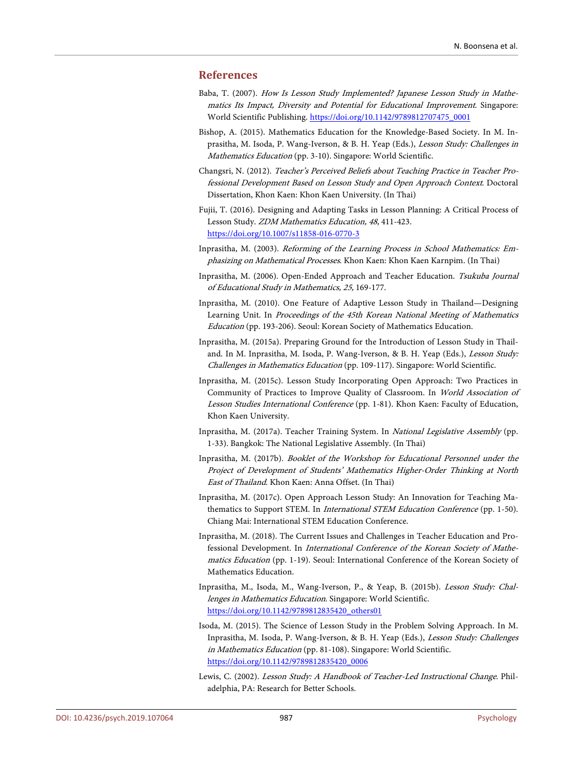## **References**

- <span id="page-10-9"></span>Baba, T. (2007). How Is Lesson Study Implemented? Japanese Lesson Study in Mathematics Its Impact, Diversity and Potential for Educational Improvement. Singapore: World Scientific Publishing. [https://doi.org/10.1142/9789812707475\\_0001](https://doi.org/10.1142/9789812707475_0001)
- <span id="page-10-3"></span>Bishop, A. (2015). Mathematics Education for the Knowledge-Based Society. In M. Inprasitha, M. Isoda, P. Wang-Iverson, & B. H. Yeap (Eds.), Lesson Study: Challenges in Mathematics Education (pp. 3-10). Singapore: World Scientific.
- <span id="page-10-2"></span>Changsri, N. (2012). Teacher's Perceived Beliefs about Teaching Practice in Teacher Professional Development Based on Lesson Study and Open Approach Context. Doctoral Dissertation, Khon Kaen: Khon Kaen University. (In Thai)
- <span id="page-10-7"></span>Fujii, T. (2016). Designing and Adapting Tasks in Lesson Planning: A Critical Process of Lesson Study. ZDM Mathematics Education, 48, 411-423. <https://doi.org/10.1007/s11858-016-0770-3>
- <span id="page-10-8"></span>Inprasitha, M. (2003). Reforming of the Learning Process in School Mathematics: Emphasizing on Mathematical Processes. Khon Kaen: Khon Kaen Karnpim. (In Thai)
- <span id="page-10-5"></span>Inprasitha, M. (2006). Open-Ended Approach and Teacher Education. Tsukuba Journal of Educational Study in Mathematics, 25, 169-177.
- <span id="page-10-1"></span>Inprasitha, M. (2010). One Feature of Adaptive Lesson Study in Thailand—Designing Learning Unit. In Proceedings of the 45th Korean National Meeting of Mathematics Education (pp. 193-206). Seoul: Korean Society of Mathematics Education.
- <span id="page-10-12"></span>Inprasitha, M. (2015a). Preparing Ground for the Introduction of Lesson Study in Thailand. In M. Inprasitha, M. Isoda, P. Wang-Iverson, & B. H. Yeap (Eds.), Lesson Study: Challenges in Mathematics Education (pp. 109-117). Singapore: World Scientific.
- <span id="page-10-4"></span>Inprasitha, M. (2015c). Lesson Study Incorporating Open Approach: Two Practices in Community of Practices to Improve Quality of Classroom. In World Association of Lesson Studies International Conference (pp. 1-81). Khon Kaen: Faculty of Education, Khon Kaen University.
- Inprasitha, M. (2017a). Teacher Training System. In National Legislative Assembly (pp. 1-33). Bangkok: The National Legislative Assembly. (In Thai)
- <span id="page-10-6"></span>Inprasitha, M. (2017b). Booklet of the Workshop for Educational Personnel under the Project of Development of Students' Mathematics Higher-Order Thinking at North East of Thailand. Khon Kaen: Anna Offset. (In Thai)
- <span id="page-10-13"></span>Inprasitha, M. (2017c). Open Approach Lesson Study: An Innovation for Teaching Mathematics to Support STEM. In *International STEM Education Conference* (pp. 1-50). Chiang Mai: International STEM Education Conference.
- Inprasitha, M. (2018). The Current Issues and Challenges in Teacher Education and Professional Development. In International Conference of the Korean Society of Mathematics Education (pp. 1-19). Seoul: International Conference of the Korean Society of Mathematics Education.
- <span id="page-10-0"></span>Inprasitha, M., Isoda, M., Wang-Iverson, P., & Yeap, B. (2015b). Lesson Study: Challenges in Mathematics Education. Singapore: World Scientific. [https://doi.org/10.1142/9789812835420\\_others01](https://doi.org/10.1142/9789812835420_others01)
- <span id="page-10-10"></span>Isoda, M. (2015). The Science of Lesson Study in the Problem Solving Approach. In M. Inprasitha, M. Isoda, P. Wang-Iverson, & B. H. Yeap (Eds.), Lesson Study: Challenges in Mathematics Education (pp. 81-108). Singapore: World Scientific. [https://doi.org/10.1142/9789812835420\\_0006](https://doi.org/10.1142/9789812835420_0006)
- <span id="page-10-11"></span>Lewis, C. (2002). Lesson Study: A Handbook of Teacher-Led Instructional Change. Philadelphia, PA: Research for Better Schools.